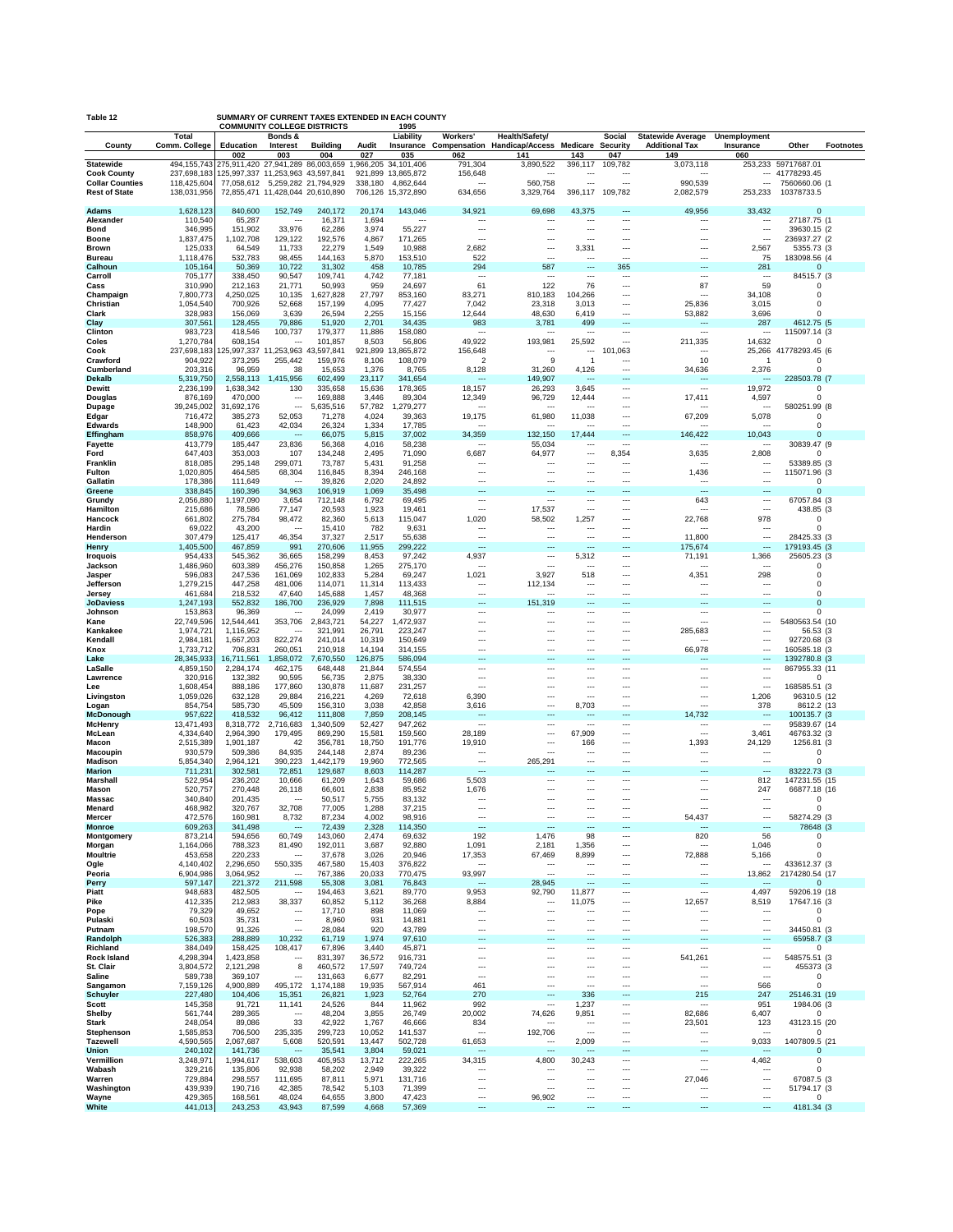| Table 12                                     |                            | SUMMARY OF CURRENT TAXES EXTENDED IN EACH COUNTY<br><b>COMMUNITY COLLEGE DISTRICTS</b><br>1995 |                                                      |                        |                   |                                 |                                                      |                                                                 |                                    |                                                      |                                                      |                                                      |                                 |           |
|----------------------------------------------|----------------------------|------------------------------------------------------------------------------------------------|------------------------------------------------------|------------------------|-------------------|---------------------------------|------------------------------------------------------|-----------------------------------------------------------------|------------------------------------|------------------------------------------------------|------------------------------------------------------|------------------------------------------------------|---------------------------------|-----------|
|                                              | <b>Total</b>               |                                                                                                | Bonds &                                              |                        |                   | Liability                       | Workers'                                             | Health/Safety/                                                  |                                    | Social                                               | Statewide Average Unemployment                       |                                                      |                                 |           |
| County                                       | Comm. College              | Education<br>002                                                                               | Interest<br>003                                      | <b>Building</b><br>004 | Audit<br>027      | 035                             | 062                                                  | Insurance Compensation Handicap/Access Medicare Security<br>141 | 143                                | 047                                                  | <b>Additional Tax</b><br>149                         | Insurance<br>060                                     | Other                           | Footnotes |
| <b>Statewide</b>                             | 494, 155, 743              | 275,911,420 27,941,289 86,003,659                                                              |                                                      |                        |                   | ,966,205 34,101,406             | 791,304                                              | 3,890,522                                                       | 396,117                            | 109,782                                              | 3,073,118                                            |                                                      | 253,233 59717687.01             |           |
| <b>Cook County</b><br><b>Collar Counties</b> | 237,698,183<br>118,425,604 | 125,997,337 11,253,963 43,597,841                                                              | 77,058,612 5,259,282 21,794,929                      |                        | 338,180           | 921,899 13,865,872<br>4.862.644 | 156,648<br>---                                       | $\ddotsc$<br>560,758                                            | ---                                | $\ddotsc$<br>$\overline{\phantom{a}}$                | $\overline{\phantom{a}}$<br>990,539                  | $\overline{\phantom{a}}$                             | $-41778293.45$<br>7560660.06 (1 |           |
| <b>Rest of State</b>                         | 138,031,956                |                                                                                                | 72,855,471 11,428,044 20,610,890                     |                        |                   | 706,126 15,372,890              | 634,656                                              | 3,329,764                                                       | 396,117                            | 109,782                                              | 2,082,579                                            | 253,233                                              | 10378733.5                      |           |
| Adams                                        | 1,628,123                  | 840,600                                                                                        | 152,749                                              | 240,172                | 20,174            | 143,046                         | 34,921                                               | 69,698                                                          | 43,375                             | ---                                                  | 49,956                                               | 33,432                                               | $\Omega$                        |           |
| Alexander                                    | 110,540                    | 65,287                                                                                         | $\ddotsc$                                            | 16,371                 | 1,694             | $\ddotsc$                       | $\overline{\phantom{a}}$                             | $\ddotsc$                                                       | $\overline{\phantom{a}}$           | ---                                                  | $\ddotsc$                                            | $\ddotsc$                                            | 27187.75 (1                     |           |
| <b>Bond</b>                                  | 346,995                    | 151,902                                                                                        | 33,976                                               | 62,286                 | 3,974             | 55,227                          | $\overline{\phantom{a}}$                             | ---                                                             | ---                                | $\overline{\phantom{a}}$                             | $\overline{\phantom{a}}$                             | $\overline{\phantom{a}}$                             | 39630.15 (2                     |           |
| Boone<br><b>Brown</b>                        | 1,837,475<br>125,033       | 1,102,708<br>64,549                                                                            | 129,122<br>11,733                                    | 192,576<br>22,279      | 4,867<br>1,549    | 171,265<br>10,988               | $\overline{\phantom{a}}$<br>2,682                    | ---<br>---                                                      | ---<br>3,331                       | $\overline{\phantom{a}}$<br>$\ddotsc$                | $\cdots$<br>$\cdots$                                 | $\overline{\phantom{a}}$<br>2,567                    | 236937.27 (2<br>5355.73 (3)     |           |
| <b>Bureau</b>                                | 1,118,476                  | 532,783                                                                                        | 98,455                                               | 144,163                | 5,870             | 153,510                         | 522                                                  | $\overline{a}$                                                  | $\overline{\phantom{a}}$           | $\overline{a}$                                       | ---                                                  | 75                                                   | 183098.56 (4                    |           |
| Calhoun<br>Carroll                           | 105,164<br>705,177         | 50,369<br>338,450                                                                              | 10,722<br>90,547                                     | 31,302<br>109,741      | 458<br>4,742      | 10,785<br>77,181                | 294<br>$\ddotsc$                                     | 587<br>$\sim$                                                   | ---<br>---                         | 365<br>$\ddotsc$                                     | $\overline{\phantom{a}}$<br>$\cdots$                 | 281<br>$\ddotsc$                                     | $\Omega$<br>84515.7 (3          |           |
| Cass                                         | 310,990                    | 212,163                                                                                        | 21,771                                               | 50,993                 | 959               | 24,697                          | 61                                                   | 122                                                             | 76                                 | $\overline{\phantom{a}}$                             | 87                                                   | 59                                                   | $\Omega$                        |           |
| Champaign                                    | 7,800,773                  | 4,250,025                                                                                      | 10,135                                               | 1,627,828              | 27,797            | 853,160                         | 83,271                                               | 810,183                                                         | 104,266                            | $\overline{\phantom{a}}$                             | $\sim$<br>25.836                                     | 34,108                                               | $\Omega$                        |           |
| Christian<br>Clark                           | 1,054,540<br>328,983       | 700,926<br>156,069                                                                             | 52,668<br>3,639                                      | 157,199<br>26,594      | 4,095<br>2,255    | 77,427<br>15,156                | 7,042<br>12,644                                      | 23,318<br>48,630                                                | 3,013<br>6,419                     | $\overline{\phantom{a}}$<br>$\overline{\phantom{a}}$ | 53,882                                               | 3,015<br>3,696                                       | $\Omega$<br>ŋ                   |           |
| Clay                                         | 307,561                    | 128,455                                                                                        | 79,886                                               | 51,920                 | 2,701             | 34,435                          | 983                                                  | 3,781                                                           | 499                                | ---                                                  | $\overline{\phantom{a}}$                             | 287                                                  | 4612.75 (5                      |           |
| Clinton<br>Coles                             | 983,723<br>1,270,784       | 418,546<br>608,154                                                                             | 100,737<br>$\ddotsc$                                 | 179,377<br>101,857     | 11,886<br>8,503   | 158,080<br>56,806               | $\ddotsc$<br>49,922                                  | $\ddotsc$<br>193,981                                            | $\ddotsc$<br>25,592                | ---<br>$\overline{a}$                                | $\overline{\phantom{a}}$<br>211,335                  | $\cdots$<br>14,632                                   | 115097.14 (3<br>ŋ               |           |
| Cook                                         | 237,698,183                | 125,997,337 11,253,963 43,597,841                                                              |                                                      |                        | 921,899           | 3,865,872                       | 156,648                                              | ---                                                             | ---                                | 101,063                                              | $\ddotsc$                                            |                                                      | 25,266 41778293.45 (6           |           |
| Crawford<br>Cumberland                       | 904,922<br>203,316         | 373,295<br>96,959                                                                              | 255,442<br>38                                        | 159,976<br>15,653      | 8,106<br>1,376    | 108,079<br>8,765                | $\overline{2}$<br>8,128                              | 9<br>31,260                                                     | $\overline{1}$<br>4,126            | ---<br>---                                           | 10<br>34,636                                         | -1<br>2,376                                          | $\Omega$<br>$\Omega$            |           |
| Dekalb                                       | 5,319,750                  | 2,558,113                                                                                      | 1,415,956                                            | 602,499                | 23,117            | 341,654                         | $\overline{\phantom{a}}$                             | 149,907                                                         | $\overline{\phantom{a}}$           | ---                                                  | $\overline{\phantom{a}}$                             | $\overline{\phantom{a}}$                             | 228503.78 (7                    |           |
| <b>Dewitt</b>                                | 2,236,199                  | 1,638,342                                                                                      | 130                                                  | 335,658                | 15,636            | 178,365                         | 18,157                                               | 26,293                                                          | 3,645                              | ---                                                  | $\overline{\phantom{a}}$                             | 19,972                                               | $\Omega$                        |           |
| Douglas<br>Dupage                            | 876,169<br>39,245,002      | 470,000<br>31,692,176                                                                          | $\ddotsc$<br>$\overline{\phantom{a}}$                | 169,888<br>5,635,516   | 3,446<br>57,782   | 89,304<br>1,279,277             | 12,349<br>$\overline{\phantom{a}}$                   | 96,729<br>$\ddotsc$                                             | 12,444<br>---                      | ---<br>---                                           | 17,411<br>$\cdots$                                   | 4,597<br>$\cdots$                                    | $\Omega$<br>580251.99 (8        |           |
| Edgar                                        | 716,472                    | 385,273                                                                                        | 52,053                                               | 71,278                 | 4,024             | 39,363                          | 19,175                                               | 61,980                                                          | 11,038                             | ---                                                  | 67,209                                               | 5,078                                                | $\Omega$                        |           |
| <b>Edwards</b><br>Effingham                  | 148,900<br>858,976         | 61,423<br>409,666                                                                              | 42,034<br>$\overline{\phantom{a}}$                   | 26,324<br>66,075       | 1,334<br>5,815    | 17,785<br>37,002                | $\overline{\phantom{a}}$<br>34,359                   | ---<br>132,150                                                  | $\overline{\phantom{a}}$<br>17,444 | $\overline{a}$<br>---                                | $\overline{\phantom{a}}$<br>146,422                  | $\sim$<br>10,043                                     | $\Omega$<br>$\Omega$            |           |
| Fayette                                      | 413,779                    | 185,447                                                                                        | 23,836                                               | 56,368                 | 4,016             | 58,238                          | $\ddotsc$                                            | 55,034                                                          | ---                                | $\ddotsc$                                            | $\cdots$                                             | $\cdots$                                             | 30839.47 (9                     |           |
| Ford<br>Franklin                             | 647,403<br>818,085         | 353,003<br>295,148                                                                             | 107<br>299,071                                       | 134,248<br>73,787      | 2,495<br>5,431    | 71,090<br>91,258                | 6,687<br>---                                         | 64,977<br>---                                                   | ---<br>---                         | 8,354<br>$\overline{a}$                              | 3,635<br>---                                         | 2,808<br>$\ddotsc$                                   | $\Omega$<br>53389.85 (3         |           |
| <b>Fulton</b>                                | 1,020,805                  | 464,585                                                                                        | 68,304                                               | 116,845                | 8,394             | 246,168                         | $\ddotsc$                                            | ---                                                             | ---                                | $\overline{\phantom{a}}$                             | 1,436                                                | $\overline{\phantom{a}}$                             | 115071.96 (3                    |           |
| Gallatin                                     | 178,386                    | 111,649                                                                                        | $\ddotsc$                                            | 39,826                 | 2,020<br>1,069    | 24,892                          | $\ddotsc$                                            | ---                                                             | ---                                | $\ddotsc$<br>---                                     | $\cdots$<br>$\overline{\phantom{a}}$                 | $\overline{\phantom{a}}$<br>$\sim$                   | $\Omega$<br>$\Omega$            |           |
| Greene<br>Grundy                             | 338,845<br>2,056,880       | 160,396<br>1,197,090                                                                           | 34,963<br>3,654                                      | 106,919<br>712,148     | 6,792             | 35,498<br>69,495                | ---<br>$\ldots$                                      | ---<br>---                                                      | ---<br>---                         | ---                                                  | 643                                                  | $\cdots$                                             | 67057.84 (3)                    |           |
| Hamilton                                     | 215,686                    | 78,586                                                                                         | 77,147                                               | 20,593                 | 1,923             | 19,461                          | $\ddotsc$                                            | 17,537                                                          | ---                                | ---                                                  | $\ddotsc$                                            | $\overline{\phantom{a}}$                             | 438.85 (3                       |           |
| Hancock<br>Hardin                            | 661,802<br>69,022          | 275,784<br>43,200                                                                              | 98,472<br>$\ddotsc$                                  | 82,360<br>15,410       | 5,613<br>782      | 115,047<br>9,631                | 1,020<br>$\overline{\phantom{a}}$                    | 58,502<br>---                                                   | 1,257<br>$\overline{\phantom{a}}$  | ---<br>---                                           | 22,768<br>$\overline{\phantom{a}}$                   | 978<br>$\sim$                                        | $\Omega$<br>$\Omega$            |           |
| Henderson                                    | 307,479                    | 125,417                                                                                        | 46,354                                               | 37,327                 | 2,517             | 55,638                          | $\overline{\phantom{a}}$                             | ---                                                             | ---                                |                                                      | 11,800                                               | $\overline{\phantom{a}}$                             | 28425.33 (3                     |           |
| Henry                                        | 1,405,500                  | 467,859<br>545,362                                                                             | 991<br>36,665                                        | 270,606<br>158,299     | 11,955<br>8,453   | 299,222                         | $\overline{\phantom{a}}$<br>4,937                    | ---<br>                                                         | ---<br>5,312                       | ---<br>---                                           | 175,674<br>71,191                                    | $\overline{\phantom{a}}$<br>1,366                    | 179193.45 (3<br>25605.23 (3     |           |
| <b>Iroquois</b><br>Jackson                   | 954,433<br>1,486,960       | 603,389                                                                                        | 456,276                                              | 150,858                | 1,265             | 97,242<br>275,170               | $\ddotsc$                                            | ---                                                             | $\ddotsc$                          | ---                                                  | $\sim$                                               | $\sim$                                               | $\Omega$                        |           |
| Jasper                                       | 596,083                    | 247,536                                                                                        | 161,069                                              | 102,833                | 5,284             | 69,247                          | 1,021                                                | 3,927                                                           | 518                                | ---                                                  | 4,351                                                | 298                                                  | $\Omega$                        |           |
| Jefferson<br>Jersey                          | 1,279,215<br>461,684       | 447,258<br>218,532                                                                             | 481,006<br>47,640                                    | 114,071<br>145,688     | 11,314<br>1,457   | 113,433<br>48,368               | $\ddotsc$<br>$\overline{\phantom{a}}$                | 112,134<br>---                                                  | ---<br>$\overline{\phantom{a}}$    | ---<br>---                                           | $\ddotsc$<br>$\overline{\phantom{a}}$                | $\ddotsc$<br>$\overline{\phantom{a}}$                | $\Omega$<br>$\Omega$            |           |
| <b>JoDaviess</b>                             | 1,247,193                  | 552,832                                                                                        | 186,700                                              | 236,929                | 7,898             | 111,515                         | ---                                                  | 151,319                                                         | ---                                | ---                                                  | $\overline{\phantom{a}}$                             | $\sim$                                               | $\Omega$                        |           |
| Johnson<br>Kane                              | 153,863<br>22,749,596      | 96,369<br>12,544,441                                                                           | $\ddotsc$<br>353,706                                 | 24,099<br>2,843,721    | 2,419<br>54,227   | 30,977<br>1,472,937             | $\ddotsc$<br>---                                     | ---<br>---                                                      | ---<br>---                         | $\sim$<br>---                                        | $\cdots$<br>---                                      | $\cdots$<br>$\overline{\phantom{a}}$                 | $\Omega$<br>5480563.54 (10      |           |
| Kankakee                                     | 1,974,721                  | 1,116,952                                                                                      | $\ddotsc$                                            | 321,991                | 26,791            | 223,247                         | ---                                                  | ---                                                             | ---                                | ---                                                  | 285,683                                              | $\overline{\phantom{a}}$                             | 56.53 (3)                       |           |
| Kendall<br>Knox                              | 2,984,181                  | 1,667,203                                                                                      | 822,274                                              | 241,014                | 10,319            | 150,649                         | $\ddotsc$                                            |                                                                 | ---                                | $\ddotsc$                                            | $\overline{\phantom{a}}$                             | $\ddotsc$<br>$\sim$                                  | 92720.68 (3                     |           |
| Lake                                         | 1,733,712<br>28,345,933    | 706,831<br>16,711,561                                                                          | 260,051<br>1,858,072                                 | 210,918<br>7,670,550   | 14,194<br>126,875 | 314,155<br>586,094              | ---<br>---                                           | <br>---                                                         | ---<br>---                         | ---<br>---                                           | 66,978<br>$\overline{a}$                             | $\overline{\phantom{a}}$                             | 160585.18 (3<br>1392780.8 (3    |           |
| LaSalle                                      | 4,859,150                  | 2,284,174                                                                                      | 462,175                                              | 648,448                | 21,844            | 574,554                         | $\ldots$                                             |                                                                 | ---                                | ---                                                  | $\cdots$                                             | $\ddotsc$                                            | 867955.33 (11                   |           |
| Lawrence<br>Lee                              | 320,916<br>1,608,454       | 132,382<br>888,186                                                                             | 90,595<br>177,860                                    | 56,735<br>130,878      | 2,875<br>11,687   | 38,330<br>231,257               | $\ddotsc$<br>$\overline{\phantom{a}}$                | ---<br>                                                         | ---<br>---                         | ---<br>---                                           | $\cdots$<br>$\ddotsc$                                | $\cdots$<br>$\overline{\phantom{a}}$                 | $\Omega$<br>168585.51 (3        |           |
| Livingston                                   | 1,059,026                  | 632,128                                                                                        | 29,884                                               | 216,221                | 4,269             | 72,618                          | 6,390                                                | ---                                                             | $\overline{a}$                     | ---                                                  | $\ddotsc$                                            | 1,206                                                | 96310.5 (12                     |           |
| Logan<br>McDonough                           | 854,754<br>957,622         | 585,730<br>418,532                                                                             | 45,509<br>96,412                                     | 156,310<br>111,808     | 3,038<br>7,859    | 42,858<br>208,145               | 3,616<br>---                                         | ---<br>---                                                      | 8,703<br>---                       | ---<br>---                                           | $\overline{\phantom{a}}$<br>14,732                   | 378<br>$\sim$                                        | 8612.2 (13<br>100135.7 (3)      |           |
| McHenry                                      | 13,471,493                 | 8,318,772                                                                                      | 2,716,683                                            | 1,340,509              | 52,427            | 947,262                         | $\sim$                                               |                                                                 | ---                                | ---                                                  | $\ddotsc$                                            | $\sim$                                               | 95839.67 (14                    |           |
| McLean<br>Macon                              | 4,334,640                  | 2,964,390                                                                                      | 179,495<br>42                                        | 869,290                | 15,581<br>18,750  | 159,560                         | 28,189                                               | ---<br>---                                                      | 67,909<br>166                      | ---<br>---                                           | $\overline{\phantom{a}}$<br>1,393                    | 3,461<br>24,129                                      | 46763.32 (3                     |           |
| Macoupin                                     | 2,515,389<br>930,579       | 1,901,187<br>509,386                                                                           | 84,935                                               | 356,781<br>244,148     | 2,874             | 191,776<br>89,236               | 19,910<br>---                                        | ---                                                             | $\overline{\phantom{a}}$           | ---                                                  | $\ddotsc$                                            | $\ddotsc$                                            | 1256.81 (3<br>$\Omega$          |           |
| Madison                                      | 5,854,340                  | 2,964,121                                                                                      | 390,223                                              | 1,442,179              | 19,960            | 772,565                         | $\overline{\phantom{a}}$                             | 265,291                                                         | ---                                | ---                                                  | $\overline{\phantom{a}}$                             | $\sim$                                               | $\Omega$                        |           |
| <b>Marion</b><br>Marshall                    | 711,231<br>522,954         | 302,581<br>236,202                                                                             | 72,851<br>10,666                                     | 129,687<br>61,209      | 8,603<br>1,643    | 114,287<br>59,686               | $\overline{\phantom{a}}$<br>5,503                    | ---<br>---                                                      | ---<br>$\ddotsc$                   | ---<br>---                                           | $\overline{\phantom{a}}$<br>---                      | $\overline{\phantom{a}}$<br>812                      | 83222.73 (3<br>147231.55 (15    |           |
| <b>Mason</b>                                 | 520,757                    | 270,448                                                                                        | 26,118                                               | 66,601                 | 2,838             | 85,952                          | 1,676                                                | ---                                                             | ---                                | ---                                                  | ---                                                  | 247                                                  | 66877.18 (16                    |           |
| <b>Massac</b><br>Menard                      | 340,840<br>468,982         | 201,435<br>320,767                                                                             | $\sim$<br>32.708                                     | 50,517<br>77,005       | 5,755<br>1,288    | 83,132<br>37,215                | ---                                                  | ---<br>---                                                      | ---<br>---                         | ---                                                  | ---<br>---                                           | $\cdots$<br>$\ddotsc$                                | $\Omega$<br>$\Omega$            |           |
| Mercer                                       | 472,576                    | 160,981                                                                                        | 8,732                                                | 87,234                 | 4,002             | 98,916                          | $\cdots$                                             | ---                                                             | ---                                | ---                                                  | 54,437                                               | $\ddotsc$                                            | 58274.29 (3                     |           |
| <b>Monroe</b><br>Montgomery                  | 609,263<br>873,214         | 341,498<br>594,656                                                                             | $\ddotsc$<br>60,749                                  | 72,439<br>143,060      | 2,328<br>2,474    | 114,350<br>69,632               | $\overline{\phantom{a}}$<br>192                      | ---<br>1,476                                                    | ---<br>98                          | ---<br>$\overline{\phantom{a}}$                      | $\overline{\phantom{a}}$<br>820                      | $\overline{\phantom{a}}$<br>56                       | 78648 (3<br>$\Omega$            |           |
| Morgan                                       | 1,164,066                  | 788,323                                                                                        | 81,490                                               | 192,011                | 3,687             | 92,880                          | 1,091                                                | 2,181                                                           | 1,356                              | $\cdots$                                             | $\cdots$                                             | 1,046                                                | $\Omega$                        |           |
| <b>Moultrie</b>                              | 453,658                    | 220,233                                                                                        | $\overline{\phantom{a}}$                             | 37,678                 | 3,026             | 20,946                          | 17,353<br>$\overline{\phantom{a}}$                   | 67,469                                                          | 8,899                              | $\overline{\phantom{a}}$<br>$\overline{\phantom{a}}$ | 72,888                                               | 5,166                                                | $\Omega$<br>433612.37 (3        |           |
| Ogle<br>Peoria                               | 4,140,402<br>6,904,986     | 2,296,650<br>3,064,952                                                                         | 550,335<br>$\overline{\phantom{a}}$                  | 467,580<br>767,386     | 15,403<br>20,033  | 376,822<br>770,475              | 93,997                                               | $\ddotsc$<br>$\overline{\phantom{a}}$                           | ---<br>$\overline{\phantom{a}}$    | $\overline{\phantom{a}}$                             | $\cdots$<br>$\overline{\phantom{a}}$                 | $\cdots$<br>13,862                                   | 2174280.54 (17                  |           |
| <b>Perry</b>                                 | 597,147                    | 221,372                                                                                        | 211,598                                              | 55,308                 | 3,081             | 76,843                          | $\overline{\phantom{a}}$                             | 28,945                                                          | $\overline{\phantom{a}}$           | ---                                                  | $\overline{\phantom{a}}$                             | $\sim$                                               | $\mathbf 0$                     |           |
| Piatt<br>Pike                                | 948,683<br>412,335         | 482,505<br>212,983                                                                             | $\sim$<br>38,337                                     | 194,463<br>60,852      | 3,621<br>5,112    | 89,770<br>36,268                | 9,953<br>8,884                                       | 92,790<br>---                                                   | 11,877<br>11,075                   | $\overline{\phantom{a}}$<br>$\overline{\phantom{a}}$ | $\overline{\phantom{a}}$<br>12,657                   | 4,497<br>8,519                                       | 59206.19 (18<br>17647.16 (3     |           |
| Pope                                         | 79,329                     | 49,652                                                                                         | $\overline{\phantom{a}}$                             | 17,710                 | 898               | 11,069                          | $\cdots$                                             | ---                                                             | ---                                | $\overline{\phantom{a}}$                             | $\hspace{0.05cm} \cdots$                             | $\cdots$                                             | $\Omega$                        |           |
| Pulaski<br>Putnam                            | 60,503<br>198,570          | 35,731<br>91,326                                                                               | $\overline{\phantom{a}}$<br>$\overline{\phantom{a}}$ | 8,960<br>28,084        | 931<br>920        | 14,881<br>43,789                | $\overline{\phantom{a}}$<br>$\overline{\phantom{a}}$ | ---<br>$\overline{\phantom{a}}$                                 | ---<br>$\overline{a}$              | $\overline{\phantom{a}}$<br>$\overline{\phantom{a}}$ | $\overline{\phantom{a}}$<br>$\overline{\phantom{a}}$ | $\overline{\phantom{a}}$<br>$\overline{\phantom{a}}$ | $\Omega$<br>34450.81 (3         |           |
| Randolph                                     | 526,383                    | 288,889                                                                                        | 10,232                                               | 61,719                 | 1,974             | 97,610                          | $\overline{\phantom{a}}$                             | ---                                                             | ---                                | $\overline{\phantom{a}}$                             | $\overline{\phantom{a}}$                             | $\overline{\phantom{a}}$                             | 65958.7 (3                      |           |
| Richland                                     | 384,049                    | 158,425                                                                                        | 108,417                                              | 67,896                 | 3,440             | 45,871                          | $\ldots$<br>$\overline{\phantom{a}}$                 | ---<br>$\overline{\phantom{a}}$                                 | ---                                | $\overline{\phantom{a}}$<br>$\overline{\phantom{a}}$ | $\cdots$                                             | $\cdots$<br>$\overline{\phantom{a}}$                 | $\Omega$                        |           |
| <b>Rock Island</b><br>St. Clair              | 4,298,394<br>3,804,572     | 1,423,858<br>2,121,298                                                                         | $\ddotsc$<br>8                                       | 831,397<br>460,572     | 36,572<br>17,597  | 916,731<br>749,724              | $\overline{\phantom{a}}$                             | ---                                                             | ---<br>---                         | $\overline{\phantom{a}}$                             | 541,261<br>$\cdots$                                  | $\overline{\phantom{a}}$                             | 548575.51 (3<br>455373 (3       |           |
| Saline                                       | 589,738                    | 369,107                                                                                        | ---                                                  | 131,663                | 6,677             | 82,291                          | $\overline{\phantom{a}}$                             | ---                                                             | ---                                | $\overline{\phantom{a}}$                             | $\ldots$                                             | $\overline{\phantom{a}}$                             | $\Omega$                        |           |
| Sangamon<br><b>Schuyler</b>                  | 7,159,126<br>227,480       | 4,900,889<br>104,406                                                                           | 495,172<br>15,351                                    | 1,174,188<br>26,821    | 19,935<br>1,923   | 567,914<br>52,764               | 461<br>270                                           | ---<br>---                                                      | $\overline{a}$<br>336              | $\overline{\phantom{a}}$<br>$\overline{\phantom{a}}$ | $\overline{\phantom{a}}$<br>215                      | 566<br>247                                           | $\mathbf 0$<br>25146.31 (19     |           |
| Scott                                        | 145,358                    | 91,721                                                                                         | 11,141                                               | 24,526                 | 844               | 11,962                          | 992                                                  | $\ddotsc$                                                       | 1,237                              | $\overline{\phantom{a}}$                             | $\ddotsc$                                            | 951                                                  | 1984.06 (3                      |           |
| Shelby<br>Stark                              | 561,744<br>248,054         | 289,365<br>89,086                                                                              | $\overline{\phantom{a}}$<br>33                       | 48,204<br>42,922       | 3,855<br>1,767    | 26,749<br>46,666                | 20,002<br>834                                        | 74,626<br>$\ddotsc$                                             | 9,851<br>$\ddotsc$                 | $\cdots$<br>$\overline{\phantom{a}}$                 | 82,686<br>23,501                                     | 6,407<br>123                                         | $\Omega$<br>43123.15 (20        |           |
| Stephenson                                   | 1,585,853                  | 706,500                                                                                        | 235,335                                              | 299,723                | 10,052            | 141,537                         | $\overline{\phantom{a}}$                             | 192,706                                                         | $\overline{\phantom{a}}$           | $\overline{\phantom{a}}$                             | $\ddotsc$                                            | $\overline{\phantom{a}}$                             | $\Omega$                        |           |
| Tazewell<br><b>Union</b>                     | 4,590,565<br>240,102       | 2,067,687                                                                                      | 5,608<br>---                                         | 520,591<br>35,541      | 13,447<br>3,804   | 502,728                         | 61,653<br>$\overline{\phantom{a}}$                   | $\sim$<br>---                                                   | 2,009<br>---                       | $\overline{\phantom{a}}$<br>---                      | $\overline{\phantom{a}}$<br>$\overline{\phantom{a}}$ | 9,033<br>$\sim$                                      | 1407809.5 (21<br>$\Omega$       |           |
| Vermillion                                   | 3,248,971                  | 141,736<br>1,994,617                                                                           | 538,603                                              | 405,953                | 13,712            | 59,021<br>222,265               | 34,315                                               | 4,800                                                           | 30,243                             | $\overline{\phantom{a}}$                             | $\cdots$                                             | 4,462                                                | $\Omega$                        |           |
| Wabash                                       | 329,216                    | 135,806                                                                                        | 92,938                                               | 58,202                 | 2,949             | 39,322                          | $\ldots$                                             | ---                                                             | ---                                | $\overline{\phantom{a}}$                             | $\overline{\phantom{a}}$                             | $\cdots$                                             | $\Omega$                        |           |
| Warren<br>Washington                         | 729,884<br>439,939         | 298,557<br>190,716                                                                             | 111,695<br>42,385                                    | 87,811<br>78,542       | 5,971<br>5,103    | 131,716<br>71,399               | $\overline{\phantom{a}}$<br>$\overline{\phantom{a}}$ | $\overline{\phantom{a}}$<br>$\overline{\phantom{a}}$            | ---<br>---                         | $\overline{\phantom{a}}$<br>$\overline{\phantom{a}}$ | 27,046<br>$\ddotsc$                                  | $\overline{\phantom{a}}$<br>$\overline{\phantom{a}}$ | 67087.5 (3<br>51794.17 (3       |           |
| Wayne                                        | 429,365                    | 168,561                                                                                        | 48,024                                               | 64,655                 | 3,800             | 47,423                          | $\overline{\phantom{a}}$                             | 96,902                                                          | ---                                |                                                      | $\overline{\phantom{a}}$                             | $\overline{\phantom{a}}$                             | $\Omega$                        |           |
| White                                        | 441,013                    | 243,253                                                                                        | 43,943                                               | 87,599                 | 4,668             | 57,369                          | $\overline{\phantom{a}}$                             | $\overline{\phantom{a}}$                                        | ---                                | ---                                                  | $\overline{\phantom{a}}$                             | $\overline{\phantom{a}}$                             | 4181.34 (3                      |           |